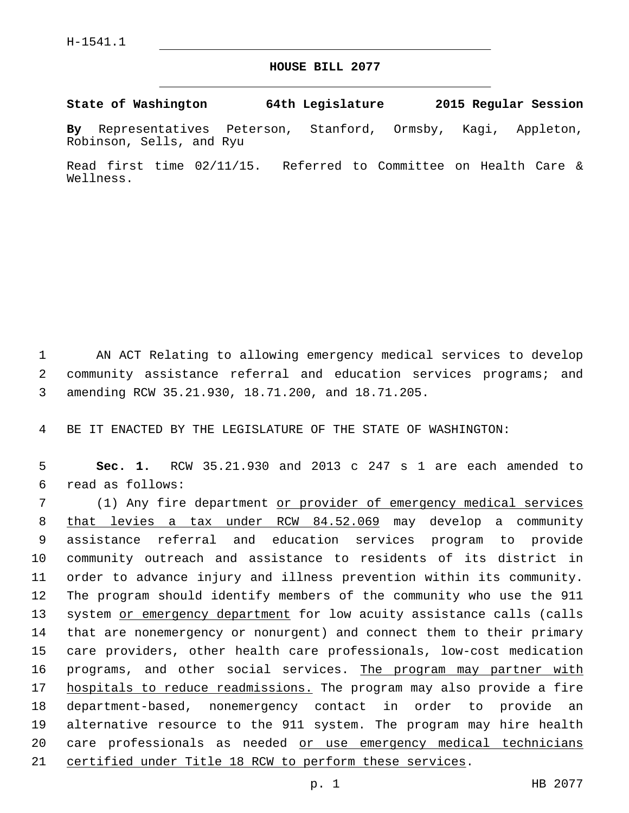## **HOUSE BILL 2077**

**State of Washington 64th Legislature 2015 Regular Session**

**By** Representatives Peterson, Stanford, Ormsby, Kagi, Appleton, Robinson, Sells, and Ryu

Read first time 02/11/15. Referred to Committee on Health Care & Wellness.

1 AN ACT Relating to allowing emergency medical services to develop 2 community assistance referral and education services programs; and 3 amending RCW 35.21.930, 18.71.200, and 18.71.205.

4 BE IT ENACTED BY THE LEGISLATURE OF THE STATE OF WASHINGTON:

5 **Sec. 1.** RCW 35.21.930 and 2013 c 247 s 1 are each amended to read as follows:6

 (1) Any fire department or provider of emergency medical services that levies a tax under RCW 84.52.069 may develop a community assistance referral and education services program to provide community outreach and assistance to residents of its district in order to advance injury and illness prevention within its community. The program should identify members of the community who use the 911 13 system or emergency department for low acuity assistance calls (calls that are nonemergency or nonurgent) and connect them to their primary care providers, other health care professionals, low-cost medication 16 programs, and other social services. The program may partner with 17 hospitals to reduce readmissions. The program may also provide a fire department-based, nonemergency contact in order to provide an alternative resource to the 911 system. The program may hire health 20 care professionals as needed or use emergency medical technicians certified under Title 18 RCW to perform these services.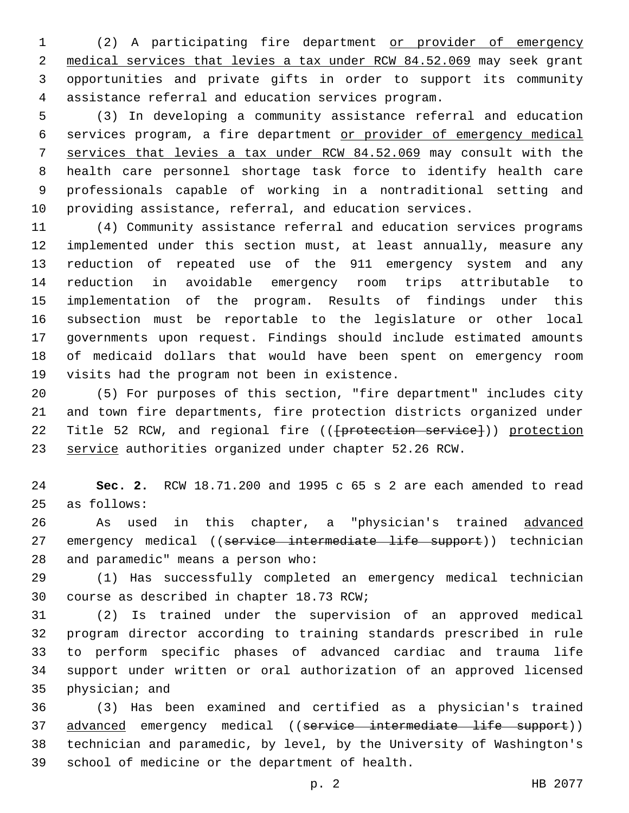(2) A participating fire department or provider of emergency medical services that levies a tax under RCW 84.52.069 may seek grant opportunities and private gifts in order to support its community assistance referral and education services program.

 (3) In developing a community assistance referral and education services program, a fire department or provider of emergency medical services that levies a tax under RCW 84.52.069 may consult with the health care personnel shortage task force to identify health care professionals capable of working in a nontraditional setting and providing assistance, referral, and education services.

 (4) Community assistance referral and education services programs implemented under this section must, at least annually, measure any reduction of repeated use of the 911 emergency system and any reduction in avoidable emergency room trips attributable to implementation of the program. Results of findings under this subsection must be reportable to the legislature or other local governments upon request. Findings should include estimated amounts of medicaid dollars that would have been spent on emergency room 19 visits had the program not been in existence.

 (5) For purposes of this section, "fire department" includes city and town fire departments, fire protection districts organized under 22 Title 52 RCW, and regional fire ((<del>[protection service]</del>)) protection service authorities organized under chapter 52.26 RCW.

 **Sec. 2.** RCW 18.71.200 and 1995 c 65 s 2 are each amended to read 25 as follows:

26 As used in this chapter, a "physician's trained advanced 27 emergency medical ((service intermediate life support)) technician 28 and paramedic" means a person who:

 (1) Has successfully completed an emergency medical technician 30 course as described in chapter 18.73 RCW;

 (2) Is trained under the supervision of an approved medical program director according to training standards prescribed in rule to perform specific phases of advanced cardiac and trauma life support under written or oral authorization of an approved licensed 35 physician; and

 (3) Has been examined and certified as a physician's trained 37 advanced emergency medical ((service intermediate life support)) technician and paramedic, by level, by the University of Washington's 39 school of medicine or the department of health.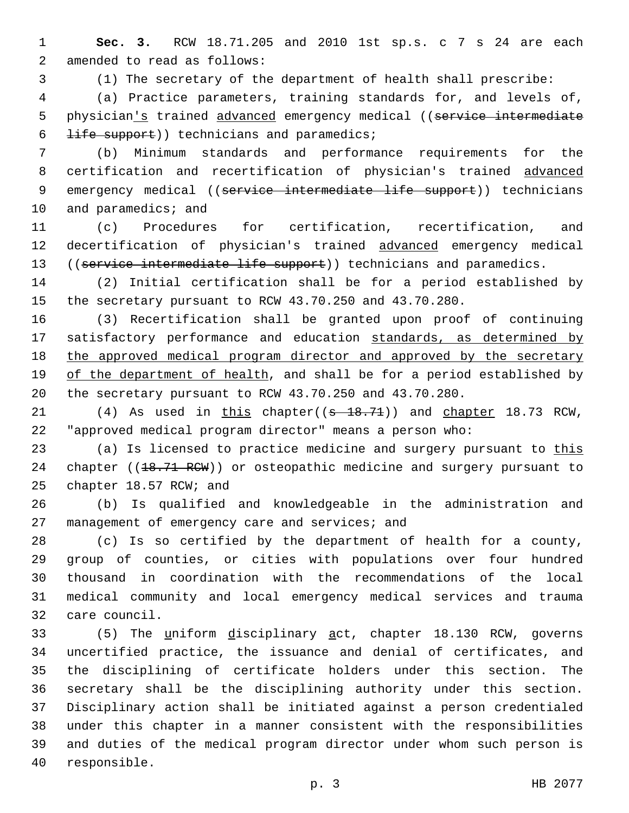1 **Sec. 3.** RCW 18.71.205 and 2010 1st sp.s. c 7 s 24 are each 2 amended to read as follows:

3 (1) The secretary of the department of health shall prescribe:

4 (a) Practice parameters, training standards for, and levels of, 5 physician's trained advanced emergency medical ((service intermediate  $6$  <del>life support</del>)) technicians and paramedics;

7 (b) Minimum standards and performance requirements for the 8 certification and recertification of physician's trained advanced 9 emergency medical ((service intermediate life support)) technicians 10 and paramedics; and

11 (c) Procedures for certification, recertification, and 12 decertification of physician's trained advanced emergency medical 13 ((service intermediate life support)) technicians and paramedics.

14 (2) Initial certification shall be for a period established by 15 the secretary pursuant to RCW 43.70.250 and 43.70.280.

16 (3) Recertification shall be granted upon proof of continuing 17 satisfactory performance and education standards, as determined by 18 the approved medical program director and approved by the secretary 19 of the department of health, and shall be for a period established by 20 the secretary pursuant to RCW 43.70.250 and 43.70.280.

21 (4) As used in this chapter((s 18.71)) and chapter 18.73 RCW, 22 "approved medical program director" means a person who:

23 (a) Is licensed to practice medicine and surgery pursuant to this 24 chapter ((18.71 RCW)) or osteopathic medicine and surgery pursuant to 25 chapter 18.57 RCW; and

26 (b) Is qualified and knowledgeable in the administration and 27 management of emergency care and services; and

 (c) Is so certified by the department of health for a county, group of counties, or cities with populations over four hundred thousand in coordination with the recommendations of the local medical community and local emergency medical services and trauma 32 care council.

33 (5) The uniform disciplinary act, chapter 18.130 RCW, governs uncertified practice, the issuance and denial of certificates, and the disciplining of certificate holders under this section. The secretary shall be the disciplining authority under this section. Disciplinary action shall be initiated against a person credentialed under this chapter in a manner consistent with the responsibilities and duties of the medical program director under whom such person is 40 responsible.

p. 3 HB 2077